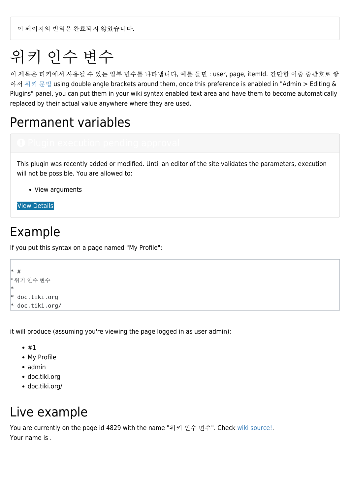이 페이지의 번역은 완료되지 않았습니다.

# 위키 인수 변수

이 제목은 티키에서 사용될 수 있는 일부 변수를 나타냅니다, 예를 들면 : user, page, itemId. 간단한 이중 중괄호로 쌓 아서 [위키 문법](https://doc.tiki.org/Wiki-Syntax) using double angle brackets around them, once this preference is enabled in "Admin > Editing & Plugins" panel, you can put them in your wiki syntax enabled text area and have them to become automatically replaced by their actual value anywhere where they are used.

#### Permanent variables

# This plugin was recently added or modified. Until an editor of the site validates the parameters, execution will not be possible. You are allowed to:

View arguments

[View Details](#page--1-0)

#### Example

If you put this syntax on a page named "My Profile":

```
* #
* 위키 인수 변수
*
 doc.tiki.org
 doc.tiki.org/
```
it will produce (assuming you're viewing the page logged in as user admin):

- $#1$
- My Profile
- admin
- doc.tiki.org
- doc.tiki.org/

#### Live example

You are currently on the page id 4829 with the name "위키 인수 변수". Check [wiki source!](https://doc.tiki.org/tiki-pagehistory.php?page=Wiki+Argument+Variables&source=0). Your name is .